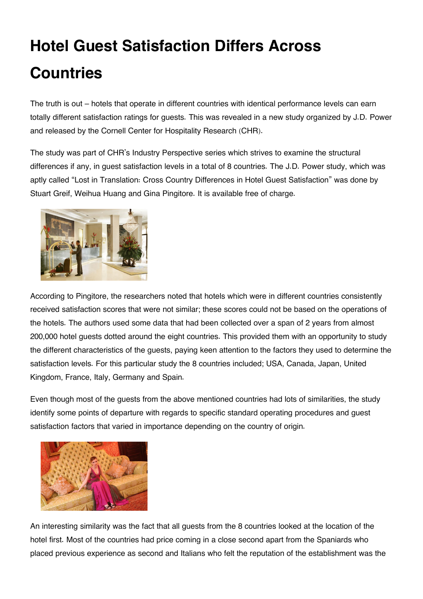## **Hotel Guest Satisfaction Differs Across Countries**

The truth is out – hotels that operate in different countries with identical performance levels can earn totally different satisfaction ratings for guests. This was revealed in a new study organized by J.D. Power and released by the Cornell Center for Hospitality Research (CHR).

The study was part of CHR's Industry Perspective series which strives to examine the structural differences if any, in guest satisfaction levels in a total of 8 countries. The J.D. Power study, which was aptly called "Lost in Translation: Cross Country Differences in Hotel Guest Satisfaction" was done by Stuart Greif, Weihua Huang and Gina Pingitore. It is available free of charge.



According to Pingitore, the researchers noted that hotels which were in different countries consistently received satisfaction scores that were not similar; these scores could not be based on the operations of the hotels. The authors used some data that had been collected over a span of 2 years from almost 200,000 hotel guests dotted around the eight countries. This provided them with an opportunity to study the different characteristics of the guests, paying keen attention to the factors they used to determine the satisfaction levels. For this particular study the 8 countries included; USA, Canada, Japan, United Kingdom, France, Italy, Germany and Spain.

Even though most of the guests from the above mentioned countries had lots of similarities, the study identify some points of departure with regards to specific standard operating procedures and guest satisfaction factors that varied in importance depending on the country of origin.



An interesting similarity was the fact that all guests from the 8 countries looked at the location of the hotel first. Most of the countries had price coming in a close second apart from the Spaniards who placed previous experience as second and Italians who felt the reputation of the establishment was the